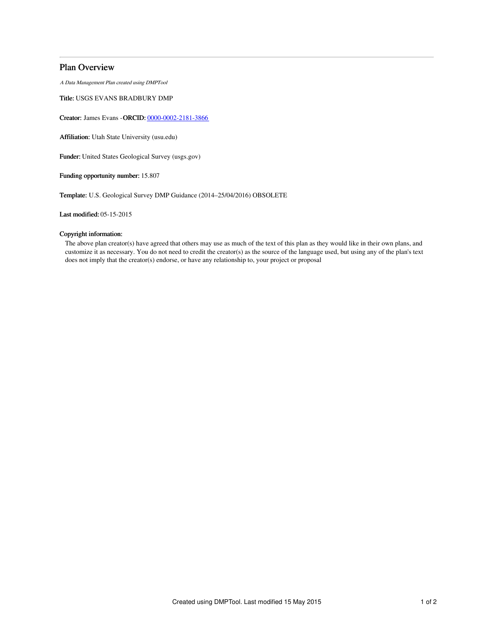## Plan Overview

A Data Management Plan created using DMPTool

Title: USGS EVANS BRADBURY DMP

Creator: James Evans -ORCID: [0000-0002-2181-3866](https://orcid.org/0000-0002-2181-3866)

Affiliation: Utah State University (usu.edu)

Funder: United States Geological Survey (usgs.gov)

Funding opportunity number: 15.807

Template: U.S. Geological Survey DMP Guidance (2014–25/04/2016) OBSOLETE

Last modified: 05-15-2015

## Copyright information:

The above plan creator(s) have agreed that others may use as much of the text of this plan as they would like in their own plans, and customize it as necessary. You do not need to credit the creator(s) as the source of the language used, but using any of the plan's text does not imply that the creator(s) endorse, or have any relationship to, your project or proposal